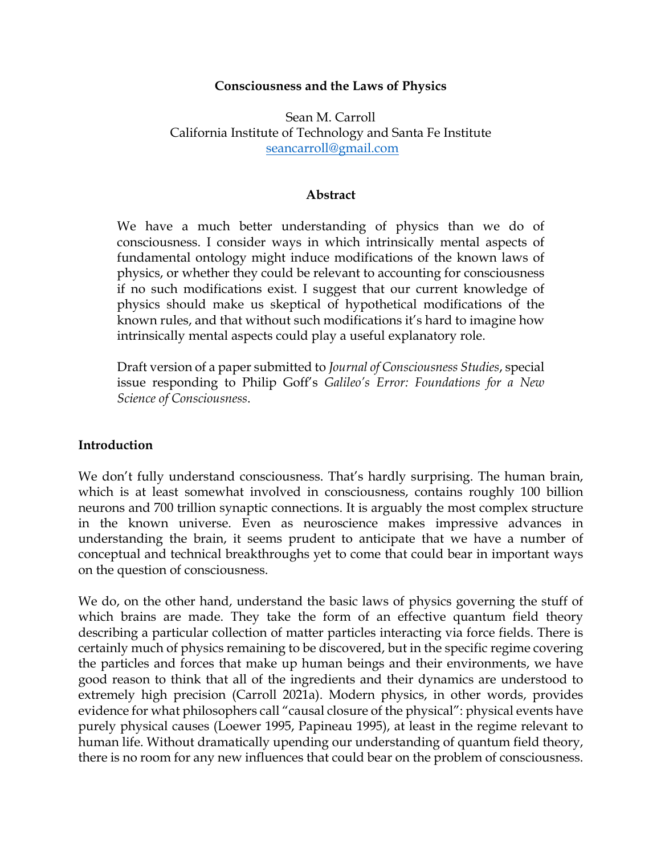#### **Consciousness and the Laws of Physics**

Sean M. Carroll California Institute of Technology and Santa Fe Institute seancarroll@gmail.com

#### **Abstract**

We have a much better understanding of physics than we do of consciousness. I consider ways in which intrinsically mental aspects of fundamental ontology might induce modifications of the known laws of physics, or whether they could be relevant to accounting for consciousness if no such modifications exist. I suggest that our current knowledge of physics should make us skeptical of hypothetical modifications of the known rules, and that without such modifications it's hard to imagine how intrinsically mental aspects could play a useful explanatory role.

Draft version of a paper submitted to *Journal of Consciousness Studies*, special issue responding to Philip Goff's *Galileo's Error: Foundations for a New Science of Consciousness*.

#### **Introduction**

We don't fully understand consciousness. That's hardly surprising. The human brain, which is at least somewhat involved in consciousness, contains roughly 100 billion neurons and 700 trillion synaptic connections. It is arguably the most complex structure in the known universe. Even as neuroscience makes impressive advances in understanding the brain, it seems prudent to anticipate that we have a number of conceptual and technical breakthroughs yet to come that could bear in important ways on the question of consciousness.

We do, on the other hand, understand the basic laws of physics governing the stuff of which brains are made. They take the form of an effective quantum field theory describing a particular collection of matter particles interacting via force fields. There is certainly much of physics remaining to be discovered, but in the specific regime covering the particles and forces that make up human beings and their environments, we have good reason to think that all of the ingredients and their dynamics are understood to extremely high precision (Carroll 2021a). Modern physics, in other words, provides evidence for what philosophers call "causal closure of the physical": physical events have purely physical causes (Loewer 1995, Papineau 1995), at least in the regime relevant to human life. Without dramatically upending our understanding of quantum field theory, there is no room for any new influences that could bear on the problem of consciousness.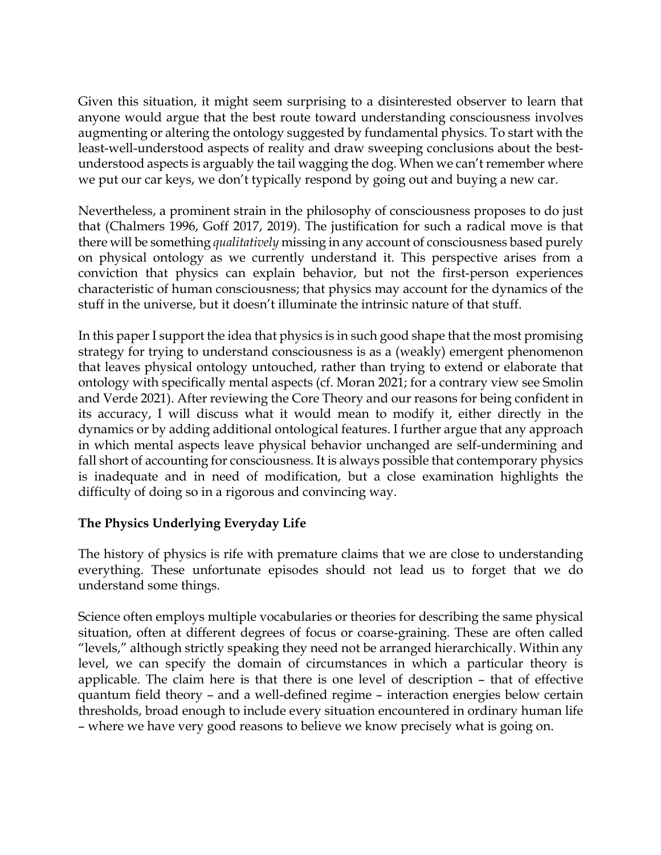Given this situation, it might seem surprising to a disinterested observer to learn that anyone would argue that the best route toward understanding consciousness involves augmenting or altering the ontology suggested by fundamental physics. To start with the least-well-understood aspects of reality and draw sweeping conclusions about the bestunderstood aspects is arguably the tail wagging the dog. When we can't remember where we put our car keys, we don't typically respond by going out and buying a new car.

Nevertheless, a prominent strain in the philosophy of consciousness proposes to do just that (Chalmers 1996, Goff 2017, 2019). The justification for such a radical move is that there will be something *qualitatively* missing in any account of consciousness based purely on physical ontology as we currently understand it. This perspective arises from a conviction that physics can explain behavior, but not the first-person experiences characteristic of human consciousness; that physics may account for the dynamics of the stuff in the universe, but it doesn't illuminate the intrinsic nature of that stuff.

In this paper I support the idea that physics is in such good shape that the most promising strategy for trying to understand consciousness is as a (weakly) emergent phenomenon that leaves physical ontology untouched, rather than trying to extend or elaborate that ontology with specifically mental aspects (cf. Moran 2021; for a contrary view see Smolin and Verde 2021). After reviewing the Core Theory and our reasons for being confident in its accuracy, I will discuss what it would mean to modify it, either directly in the dynamics or by adding additional ontological features. I further argue that any approach in which mental aspects leave physical behavior unchanged are self-undermining and fall short of accounting for consciousness. It is always possible that contemporary physics is inadequate and in need of modification, but a close examination highlights the difficulty of doing so in a rigorous and convincing way.

# **The Physics Underlying Everyday Life**

The history of physics is rife with premature claims that we are close to understanding everything. These unfortunate episodes should not lead us to forget that we do understand some things.

Science often employs multiple vocabularies or theories for describing the same physical situation, often at different degrees of focus or coarse-graining. These are often called "levels," although strictly speaking they need not be arranged hierarchically. Within any level, we can specify the domain of circumstances in which a particular theory is applicable. The claim here is that there is one level of description – that of effective quantum field theory – and a well-defined regime – interaction energies below certain thresholds, broad enough to include every situation encountered in ordinary human life – where we have very good reasons to believe we know precisely what is going on.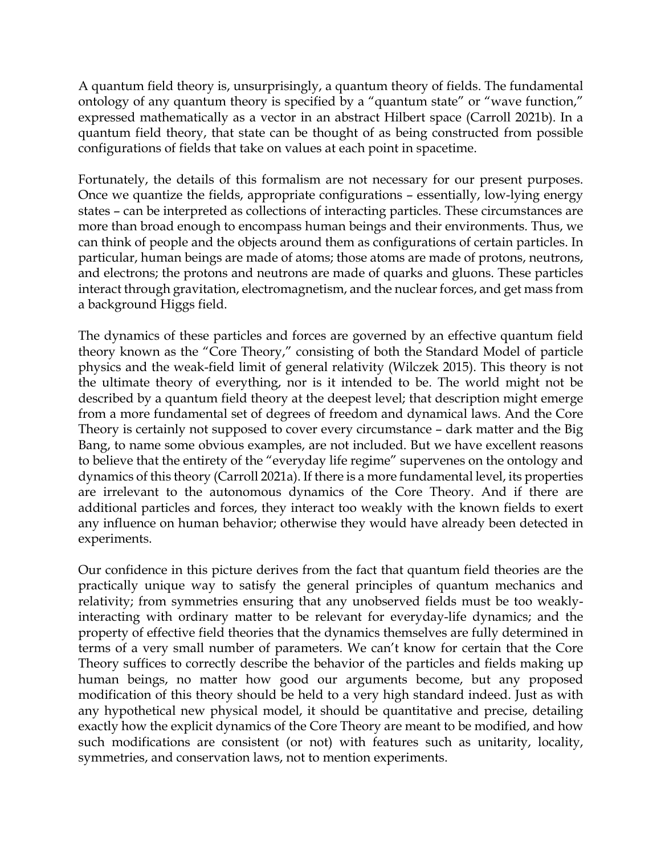A quantum field theory is, unsurprisingly, a quantum theory of fields. The fundamental ontology of any quantum theory is specified by a "quantum state" or "wave function," expressed mathematically as a vector in an abstract Hilbert space (Carroll 2021b). In a quantum field theory, that state can be thought of as being constructed from possible configurations of fields that take on values at each point in spacetime.

Fortunately, the details of this formalism are not necessary for our present purposes. Once we quantize the fields, appropriate configurations – essentially, low-lying energy states – can be interpreted as collections of interacting particles. These circumstances are more than broad enough to encompass human beings and their environments. Thus, we can think of people and the objects around them as configurations of certain particles. In particular, human beings are made of atoms; those atoms are made of protons, neutrons, and electrons; the protons and neutrons are made of quarks and gluons. These particles interact through gravitation, electromagnetism, and the nuclear forces, and get mass from a background Higgs field.

The dynamics of these particles and forces are governed by an effective quantum field theory known as the "Core Theory," consisting of both the Standard Model of particle physics and the weak-field limit of general relativity (Wilczek 2015). This theory is not the ultimate theory of everything, nor is it intended to be. The world might not be described by a quantum field theory at the deepest level; that description might emerge from a more fundamental set of degrees of freedom and dynamical laws. And the Core Theory is certainly not supposed to cover every circumstance – dark matter and the Big Bang, to name some obvious examples, are not included. But we have excellent reasons to believe that the entirety of the "everyday life regime" supervenes on the ontology and dynamics of this theory (Carroll 2021a). If there is a more fundamental level, its properties are irrelevant to the autonomous dynamics of the Core Theory. And if there are additional particles and forces, they interact too weakly with the known fields to exert any influence on human behavior; otherwise they would have already been detected in experiments.

Our confidence in this picture derives from the fact that quantum field theories are the practically unique way to satisfy the general principles of quantum mechanics and relativity; from symmetries ensuring that any unobserved fields must be too weaklyinteracting with ordinary matter to be relevant for everyday-life dynamics; and the property of effective field theories that the dynamics themselves are fully determined in terms of a very small number of parameters. We can't know for certain that the Core Theory suffices to correctly describe the behavior of the particles and fields making up human beings, no matter how good our arguments become, but any proposed modification of this theory should be held to a very high standard indeed. Just as with any hypothetical new physical model, it should be quantitative and precise, detailing exactly how the explicit dynamics of the Core Theory are meant to be modified, and how such modifications are consistent (or not) with features such as unitarity, locality, symmetries, and conservation laws, not to mention experiments.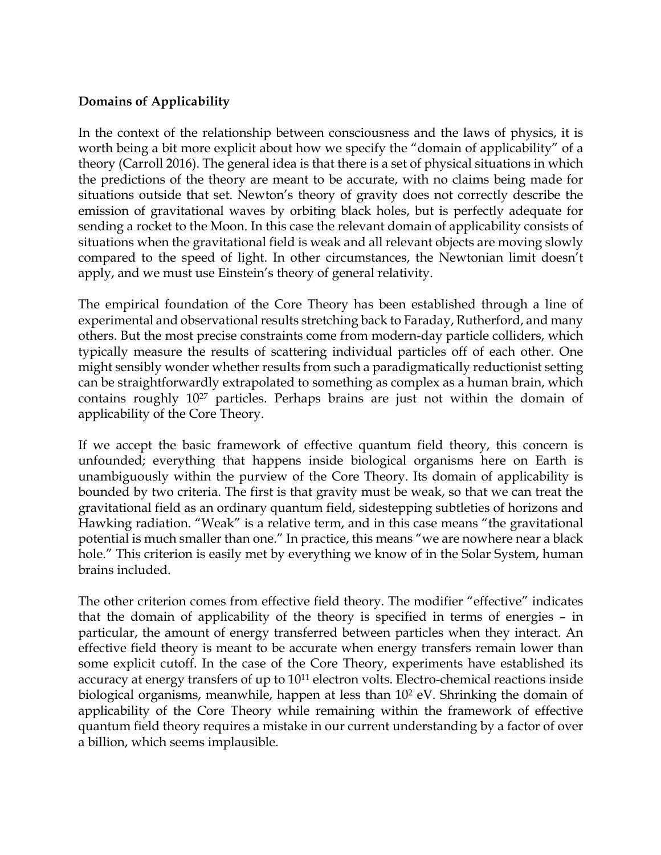# **Domains of Applicability**

In the context of the relationship between consciousness and the laws of physics, it is worth being a bit more explicit about how we specify the "domain of applicability" of a theory (Carroll 2016). The general idea is that there is a set of physical situations in which the predictions of the theory are meant to be accurate, with no claims being made for situations outside that set. Newton's theory of gravity does not correctly describe the emission of gravitational waves by orbiting black holes, but is perfectly adequate for sending a rocket to the Moon. In this case the relevant domain of applicability consists of situations when the gravitational field is weak and all relevant objects are moving slowly compared to the speed of light. In other circumstances, the Newtonian limit doesn't apply, and we must use Einstein's theory of general relativity.

The empirical foundation of the Core Theory has been established through a line of experimental and observational results stretching back to Faraday, Rutherford, and many others. But the most precise constraints come from modern-day particle colliders, which typically measure the results of scattering individual particles off of each other. One might sensibly wonder whether results from such a paradigmatically reductionist setting can be straightforwardly extrapolated to something as complex as a human brain, which contains roughly 1027 particles. Perhaps brains are just not within the domain of applicability of the Core Theory.

If we accept the basic framework of effective quantum field theory, this concern is unfounded; everything that happens inside biological organisms here on Earth is unambiguously within the purview of the Core Theory. Its domain of applicability is bounded by two criteria. The first is that gravity must be weak, so that we can treat the gravitational field as an ordinary quantum field, sidestepping subtleties of horizons and Hawking radiation. "Weak" is a relative term, and in this case means "the gravitational potential is much smaller than one." In practice, this means "we are nowhere near a black hole." This criterion is easily met by everything we know of in the Solar System, human brains included.

The other criterion comes from effective field theory. The modifier "effective" indicates that the domain of applicability of the theory is specified in terms of energies – in particular, the amount of energy transferred between particles when they interact. An effective field theory is meant to be accurate when energy transfers remain lower than some explicit cutoff. In the case of the Core Theory, experiments have established its accuracy at energy transfers of up to 10<sup>11</sup> electron volts. Electro-chemical reactions inside biological organisms, meanwhile, happen at less than 102 eV. Shrinking the domain of applicability of the Core Theory while remaining within the framework of effective quantum field theory requires a mistake in our current understanding by a factor of over a billion, which seems implausible.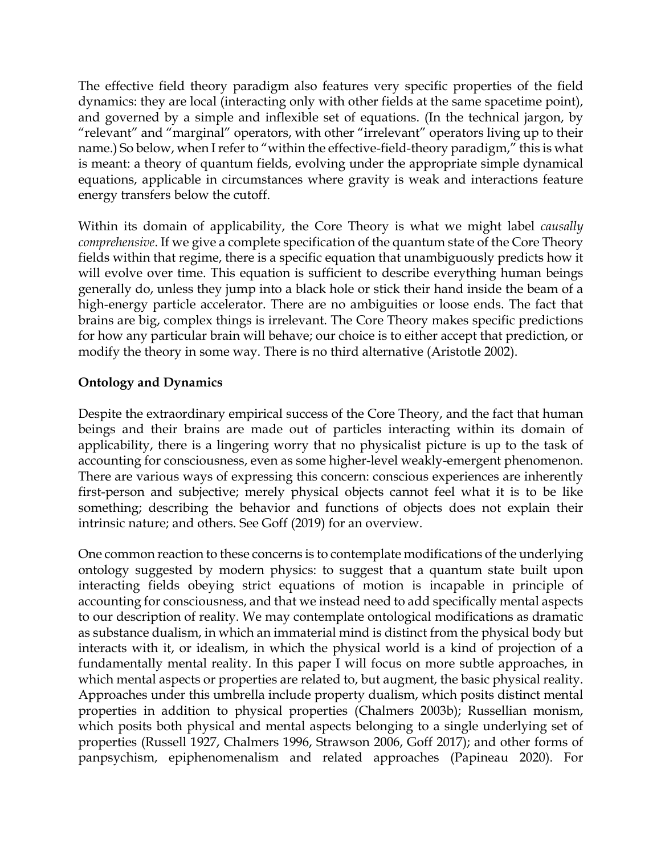The effective field theory paradigm also features very specific properties of the field dynamics: they are local (interacting only with other fields at the same spacetime point), and governed by a simple and inflexible set of equations. (In the technical jargon, by "relevant" and "marginal" operators, with other "irrelevant" operators living up to their name.) So below, when I refer to "within the effective-field-theory paradigm," this is what is meant: a theory of quantum fields, evolving under the appropriate simple dynamical equations, applicable in circumstances where gravity is weak and interactions feature energy transfers below the cutoff.

Within its domain of applicability, the Core Theory is what we might label *causally comprehensive*. If we give a complete specification of the quantum state of the Core Theory fields within that regime, there is a specific equation that unambiguously predicts how it will evolve over time. This equation is sufficient to describe everything human beings generally do, unless they jump into a black hole or stick their hand inside the beam of a high-energy particle accelerator. There are no ambiguities or loose ends. The fact that brains are big, complex things is irrelevant. The Core Theory makes specific predictions for how any particular brain will behave; our choice is to either accept that prediction, or modify the theory in some way. There is no third alternative (Aristotle 2002).

# **Ontology and Dynamics**

Despite the extraordinary empirical success of the Core Theory, and the fact that human beings and their brains are made out of particles interacting within its domain of applicability, there is a lingering worry that no physicalist picture is up to the task of accounting for consciousness, even as some higher-level weakly-emergent phenomenon. There are various ways of expressing this concern: conscious experiences are inherently first-person and subjective; merely physical objects cannot feel what it is to be like something; describing the behavior and functions of objects does not explain their intrinsic nature; and others. See Goff (2019) for an overview.

One common reaction to these concerns is to contemplate modifications of the underlying ontology suggested by modern physics: to suggest that a quantum state built upon interacting fields obeying strict equations of motion is incapable in principle of accounting for consciousness, and that we instead need to add specifically mental aspects to our description of reality. We may contemplate ontological modifications as dramatic as substance dualism, in which an immaterial mind is distinct from the physical body but interacts with it, or idealism, in which the physical world is a kind of projection of a fundamentally mental reality. In this paper I will focus on more subtle approaches, in which mental aspects or properties are related to, but augment, the basic physical reality. Approaches under this umbrella include property dualism, which posits distinct mental properties in addition to physical properties (Chalmers 2003b); Russellian monism, which posits both physical and mental aspects belonging to a single underlying set of properties (Russell 1927, Chalmers 1996, Strawson 2006, Goff 2017); and other forms of panpsychism, epiphenomenalism and related approaches (Papineau 2020). For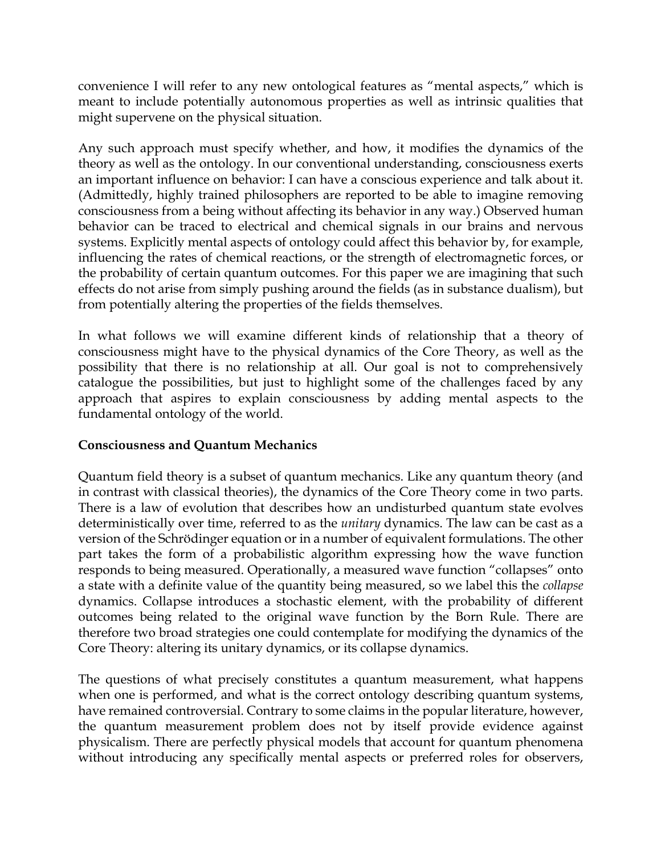convenience I will refer to any new ontological features as "mental aspects," which is meant to include potentially autonomous properties as well as intrinsic qualities that might supervene on the physical situation.

Any such approach must specify whether, and how, it modifies the dynamics of the theory as well as the ontology. In our conventional understanding, consciousness exerts an important influence on behavior: I can have a conscious experience and talk about it. (Admittedly, highly trained philosophers are reported to be able to imagine removing consciousness from a being without affecting its behavior in any way.) Observed human behavior can be traced to electrical and chemical signals in our brains and nervous systems. Explicitly mental aspects of ontology could affect this behavior by, for example, influencing the rates of chemical reactions, or the strength of electromagnetic forces, or the probability of certain quantum outcomes. For this paper we are imagining that such effects do not arise from simply pushing around the fields (as in substance dualism), but from potentially altering the properties of the fields themselves.

In what follows we will examine different kinds of relationship that a theory of consciousness might have to the physical dynamics of the Core Theory, as well as the possibility that there is no relationship at all. Our goal is not to comprehensively catalogue the possibilities, but just to highlight some of the challenges faced by any approach that aspires to explain consciousness by adding mental aspects to the fundamental ontology of the world.

# **Consciousness and Quantum Mechanics**

Quantum field theory is a subset of quantum mechanics. Like any quantum theory (and in contrast with classical theories), the dynamics of the Core Theory come in two parts. There is a law of evolution that describes how an undisturbed quantum state evolves deterministically over time, referred to as the *unitary* dynamics. The law can be cast as a version of the Schrödinger equation or in a number of equivalent formulations. The other part takes the form of a probabilistic algorithm expressing how the wave function responds to being measured. Operationally, a measured wave function "collapses" onto a state with a definite value of the quantity being measured, so we label this the *collapse* dynamics. Collapse introduces a stochastic element, with the probability of different outcomes being related to the original wave function by the Born Rule. There are therefore two broad strategies one could contemplate for modifying the dynamics of the Core Theory: altering its unitary dynamics, or its collapse dynamics.

The questions of what precisely constitutes a quantum measurement, what happens when one is performed, and what is the correct ontology describing quantum systems, have remained controversial. Contrary to some claims in the popular literature, however, the quantum measurement problem does not by itself provide evidence against physicalism. There are perfectly physical models that account for quantum phenomena without introducing any specifically mental aspects or preferred roles for observers,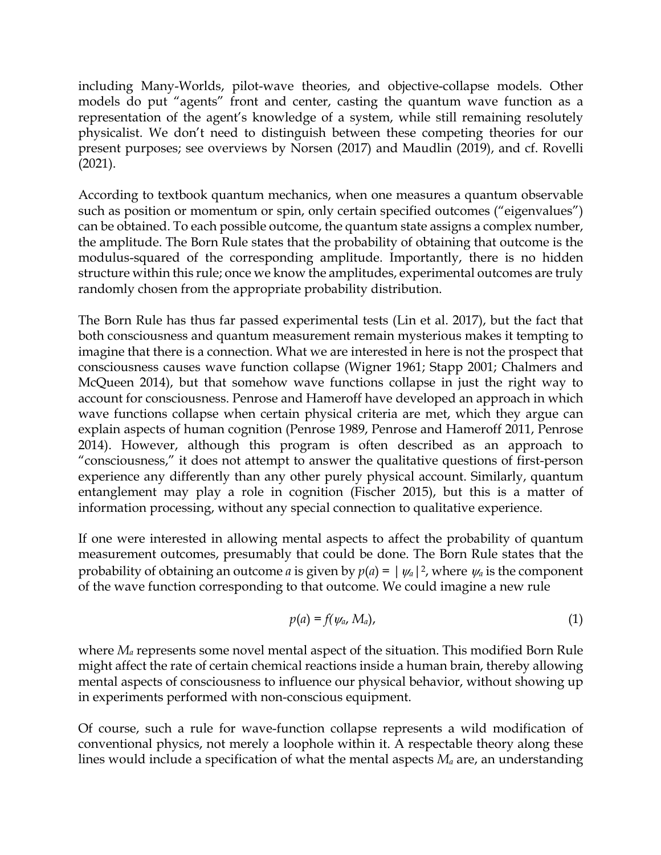including Many-Worlds, pilot-wave theories, and objective-collapse models. Other models do put "agents" front and center, casting the quantum wave function as a representation of the agent's knowledge of a system, while still remaining resolutely physicalist. We don't need to distinguish between these competing theories for our present purposes; see overviews by Norsen (2017) and Maudlin (2019), and cf. Rovelli (2021).

According to textbook quantum mechanics, when one measures a quantum observable such as position or momentum or spin, only certain specified outcomes ("eigenvalues") can be obtained. To each possible outcome, the quantum state assigns a complex number, the amplitude. The Born Rule states that the probability of obtaining that outcome is the modulus-squared of the corresponding amplitude. Importantly, there is no hidden structure within this rule; once we know the amplitudes, experimental outcomes are truly randomly chosen from the appropriate probability distribution.

The Born Rule has thus far passed experimental tests (Lin et al. 2017), but the fact that both consciousness and quantum measurement remain mysterious makes it tempting to imagine that there is a connection. What we are interested in here is not the prospect that consciousness causes wave function collapse (Wigner 1961; Stapp 2001; Chalmers and McQueen 2014), but that somehow wave functions collapse in just the right way to account for consciousness. Penrose and Hameroff have developed an approach in which wave functions collapse when certain physical criteria are met, which they argue can explain aspects of human cognition (Penrose 1989, Penrose and Hameroff 2011, Penrose 2014). However, although this program is often described as an approach to "consciousness," it does not attempt to answer the qualitative questions of first-person experience any differently than any other purely physical account. Similarly, quantum entanglement may play a role in cognition (Fischer 2015), but this is a matter of information processing, without any special connection to qualitative experience.

If one were interested in allowing mental aspects to affect the probability of quantum measurement outcomes, presumably that could be done. The Born Rule states that the probability of obtaining an outcome *a* is given by  $p(a) = |y_a|^2$ , where  $\psi_a$  is the component of the wave function corresponding to that outcome. We could imagine a new rule

$$
p(a) = f(\psi_a, M_a), \tag{1}
$$

where *Ma* represents some novel mental aspect of the situation. This modified Born Rule might affect the rate of certain chemical reactions inside a human brain, thereby allowing mental aspects of consciousness to influence our physical behavior, without showing up in experiments performed with non-conscious equipment.

Of course, such a rule for wave-function collapse represents a wild modification of conventional physics, not merely a loophole within it. A respectable theory along these lines would include a specification of what the mental aspects *Ma* are, an understanding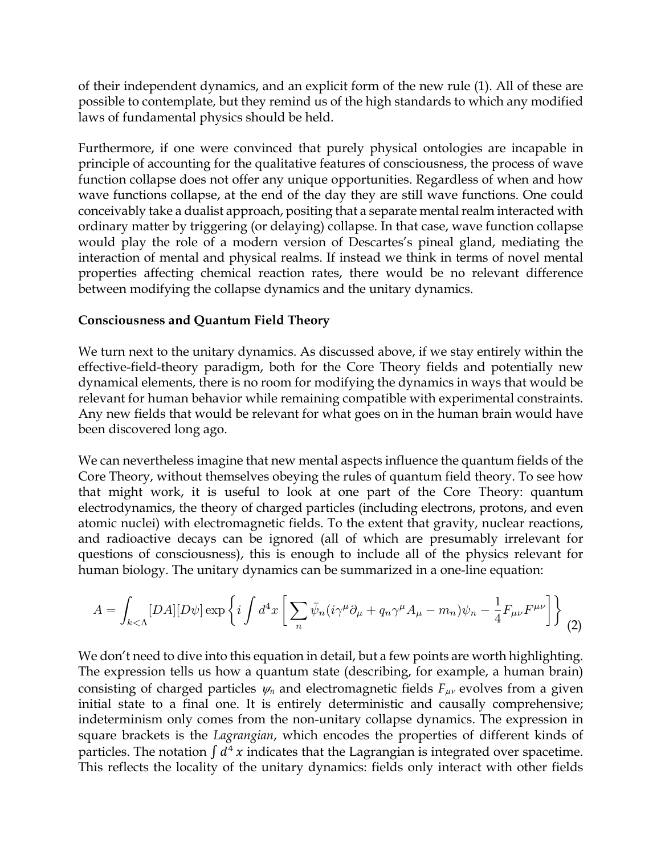of their independent dynamics, and an explicit form of the new rule (1). All of these are possible to contemplate, but they remind us of the high standards to which any modified laws of fundamental physics should be held.

Furthermore, if one were convinced that purely physical ontologies are incapable in principle of accounting for the qualitative features of consciousness, the process of wave function collapse does not offer any unique opportunities. Regardless of when and how wave functions collapse, at the end of the day they are still wave functions. One could conceivably take a dualist approach, positing that a separate mental realm interacted with ordinary matter by triggering (or delaying) collapse. In that case, wave function collapse would play the role of a modern version of Descartes's pineal gland, mediating the interaction of mental and physical realms. If instead we think in terms of novel mental properties affecting chemical reaction rates, there would be no relevant difference between modifying the collapse dynamics and the unitary dynamics.

### **Consciousness and Quantum Field Theory**

We turn next to the unitary dynamics. As discussed above, if we stay entirely within the effective-field-theory paradigm, both for the Core Theory fields and potentially new dynamical elements, there is no room for modifying the dynamics in ways that would be relevant for human behavior while remaining compatible with experimental constraints. Any new fields that would be relevant for what goes on in the human brain would have been discovered long ago.

We can nevertheless imagine that new mental aspects influence the quantum fields of the Core Theory, without themselves obeying the rules of quantum field theory. To see how that might work, it is useful to look at one part of the Core Theory: quantum electrodynamics, the theory of charged particles (including electrons, protons, and even atomic nuclei) with electromagnetic fields. To the extent that gravity, nuclear reactions, and radioactive decays can be ignored (all of which are presumably irrelevant for questions of consciousness), this is enough to include all of the physics relevant for human biology. The unitary dynamics can be summarized in a one-line equation:

$$
A = \int_{k < \Lambda} [DA][D\psi] \exp\left\{ i \int d^4x \left[ \sum_n \bar{\psi}_n (i\gamma^\mu \partial_\mu + q_n \gamma^\mu A_\mu - m_n) \psi_n - \frac{1}{4} F_{\mu\nu} F^{\mu\nu} \right] \right\} (2)
$$

We don't need to dive into this equation in detail, but a few points are worth highlighting. The expression tells us how a quantum state (describing, for example, a human brain) consisting of charged particles  $\psi_n$  and electromagnetic fields  $F_{\mu\nu}$  evolves from a given initial state to a final one. It is entirely deterministic and causally comprehensive; indeterminism only comes from the non-unitary collapse dynamics. The expression in square brackets is the *Lagrangian*, which encodes the properties of different kinds of particles. The notation  $\int d^4x$  indicates that the Lagrangian is integrated over spacetime. This reflects the locality of the unitary dynamics: fields only interact with other fields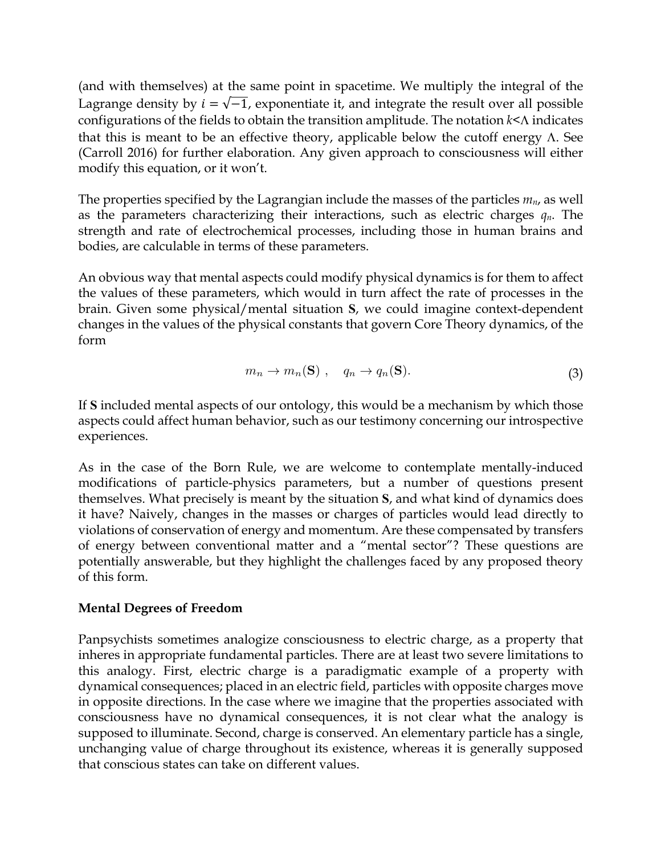(and with themselves) at the same point in spacetime. We multiply the integral of the Lagrange density by  $i = \sqrt{-1}$ , exponentiate it, and integrate the result over all possible configurations of the fields to obtain the transition amplitude. The notation  $k<\Lambda$  indicates that this is meant to be an effective theory, applicable below the cutoff energy  $\Lambda$ . See (Carroll 2016) for further elaboration. Any given approach to consciousness will either modify this equation, or it won't.

The properties specified by the Lagrangian include the masses of the particles *mn*, as well as the parameters characterizing their interactions, such as electric charges *qn*. The strength and rate of electrochemical processes, including those in human brains and bodies, are calculable in terms of these parameters.

An obvious way that mental aspects could modify physical dynamics is for them to affect the values of these parameters, which would in turn affect the rate of processes in the brain. Given some physical/mental situation **S**, we could imagine context-dependent changes in the values of the physical constants that govern Core Theory dynamics, of the form

$$
m_n \to m_n(\mathbf{S}) \ , \quad q_n \to q_n(\mathbf{S}). \tag{3}
$$

If **S** included mental aspects of our ontology, this would be a mechanism by which those aspects could affect human behavior, such as our testimony concerning our introspective experiences.

As in the case of the Born Rule, we are welcome to contemplate mentally-induced modifications of particle-physics parameters, but a number of questions present themselves. What precisely is meant by the situation **S**, and what kind of dynamics does it have? Naively, changes in the masses or charges of particles would lead directly to violations of conservation of energy and momentum. Are these compensated by transfers of energy between conventional matter and a "mental sector"? These questions are potentially answerable, but they highlight the challenges faced by any proposed theory of this form.

### **Mental Degrees of Freedom**

Panpsychists sometimes analogize consciousness to electric charge, as a property that inheres in appropriate fundamental particles. There are at least two severe limitations to this analogy. First, electric charge is a paradigmatic example of a property with dynamical consequences; placed in an electric field, particles with opposite charges move in opposite directions. In the case where we imagine that the properties associated with consciousness have no dynamical consequences, it is not clear what the analogy is supposed to illuminate. Second, charge is conserved. An elementary particle has a single, unchanging value of charge throughout its existence, whereas it is generally supposed that conscious states can take on different values.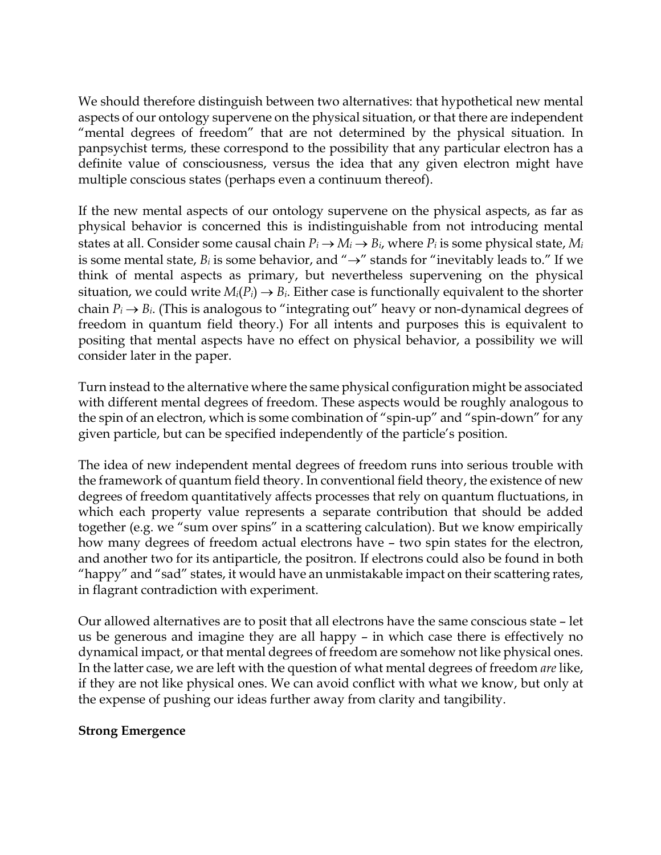We should therefore distinguish between two alternatives: that hypothetical new mental aspects of our ontology supervene on the physical situation, or that there are independent "mental degrees of freedom" that are not determined by the physical situation. In panpsychist terms, these correspond to the possibility that any particular electron has a definite value of consciousness, versus the idea that any given electron might have multiple conscious states (perhaps even a continuum thereof).

If the new mental aspects of our ontology supervene on the physical aspects, as far as physical behavior is concerned this is indistinguishable from not introducing mental states at all. Consider some causal chain  $P_i \to M_i \to B_i$ , where  $P_i$  is some physical state,  $M_i$ is some mental state,  $B_i$  is some behavior, and " $\rightarrow$ " stands for "inevitably leads to." If we think of mental aspects as primary, but nevertheless supervening on the physical situation, we could write  $M_i(P_i) \to B_i$ . Either case is functionally equivalent to the shorter chain  $P_i \rightarrow B_i$ . (This is analogous to "integrating out" heavy or non-dynamical degrees of freedom in quantum field theory.) For all intents and purposes this is equivalent to positing that mental aspects have no effect on physical behavior, a possibility we will consider later in the paper.

Turn instead to the alternative where the same physical configuration might be associated with different mental degrees of freedom. These aspects would be roughly analogous to the spin of an electron, which is some combination of "spin-up" and "spin-down" for any given particle, but can be specified independently of the particle's position.

The idea of new independent mental degrees of freedom runs into serious trouble with the framework of quantum field theory. In conventional field theory, the existence of new degrees of freedom quantitatively affects processes that rely on quantum fluctuations, in which each property value represents a separate contribution that should be added together (e.g. we "sum over spins" in a scattering calculation). But we know empirically how many degrees of freedom actual electrons have – two spin states for the electron, and another two for its antiparticle, the positron. If electrons could also be found in both "happy" and "sad" states, it would have an unmistakable impact on their scattering rates, in flagrant contradiction with experiment.

Our allowed alternatives are to posit that all electrons have the same conscious state – let us be generous and imagine they are all happy – in which case there is effectively no dynamical impact, or that mental degrees of freedom are somehow not like physical ones. In the latter case, we are left with the question of what mental degrees of freedom *are* like, if they are not like physical ones. We can avoid conflict with what we know, but only at the expense of pushing our ideas further away from clarity and tangibility.

# **Strong Emergence**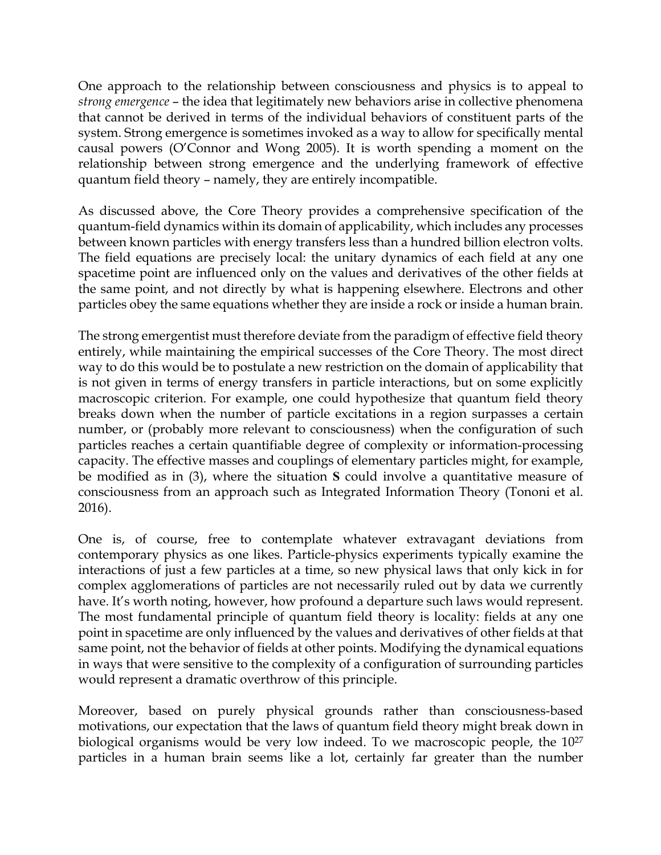One approach to the relationship between consciousness and physics is to appeal to *strong emergence* – the idea that legitimately new behaviors arise in collective phenomena that cannot be derived in terms of the individual behaviors of constituent parts of the system. Strong emergence is sometimes invoked as a way to allow for specifically mental causal powers (O'Connor and Wong 2005). It is worth spending a moment on the relationship between strong emergence and the underlying framework of effective quantum field theory – namely, they are entirely incompatible.

As discussed above, the Core Theory provides a comprehensive specification of the quantum-field dynamics within its domain of applicability, which includes any processes between known particles with energy transfers less than a hundred billion electron volts. The field equations are precisely local: the unitary dynamics of each field at any one spacetime point are influenced only on the values and derivatives of the other fields at the same point, and not directly by what is happening elsewhere. Electrons and other particles obey the same equations whether they are inside a rock or inside a human brain.

The strong emergentist must therefore deviate from the paradigm of effective field theory entirely, while maintaining the empirical successes of the Core Theory. The most direct way to do this would be to postulate a new restriction on the domain of applicability that is not given in terms of energy transfers in particle interactions, but on some explicitly macroscopic criterion. For example, one could hypothesize that quantum field theory breaks down when the number of particle excitations in a region surpasses a certain number, or (probably more relevant to consciousness) when the configuration of such particles reaches a certain quantifiable degree of complexity or information-processing capacity. The effective masses and couplings of elementary particles might, for example, be modified as in (3), where the situation **S** could involve a quantitative measure of consciousness from an approach such as Integrated Information Theory (Tononi et al. 2016).

One is, of course, free to contemplate whatever extravagant deviations from contemporary physics as one likes. Particle-physics experiments typically examine the interactions of just a few particles at a time, so new physical laws that only kick in for complex agglomerations of particles are not necessarily ruled out by data we currently have. It's worth noting, however, how profound a departure such laws would represent. The most fundamental principle of quantum field theory is locality: fields at any one point in spacetime are only influenced by the values and derivatives of other fields at that same point, not the behavior of fields at other points. Modifying the dynamical equations in ways that were sensitive to the complexity of a configuration of surrounding particles would represent a dramatic overthrow of this principle.

Moreover, based on purely physical grounds rather than consciousness-based motivations, our expectation that the laws of quantum field theory might break down in biological organisms would be very low indeed. To we macroscopic people, the 10<sup>27</sup> particles in a human brain seems like a lot, certainly far greater than the number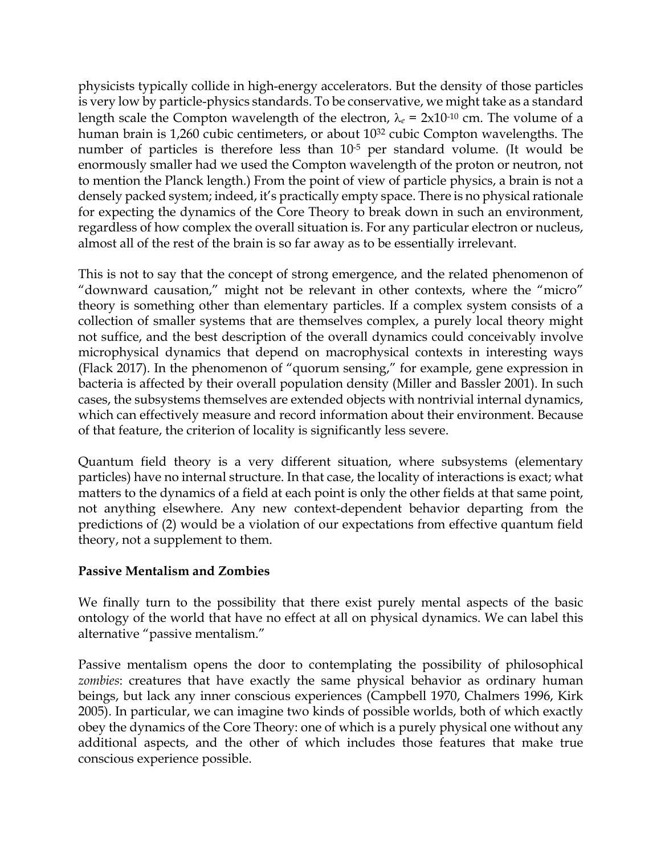physicists typically collide in high-energy accelerators. But the density of those particles is very low by particle-physics standards. To be conservative, we might take as a standard length scale the Compton wavelength of the electron,  $\lambda_e = 2 \times 10^{-10}$  cm. The volume of a human brain is 1,260 cubic centimeters, or about 10<sup>32</sup> cubic Compton wavelengths. The number of particles is therefore less than 10-5 per standard volume. (It would be enormously smaller had we used the Compton wavelength of the proton or neutron, not to mention the Planck length.) From the point of view of particle physics, a brain is not a densely packed system; indeed, it's practically empty space. There is no physical rationale for expecting the dynamics of the Core Theory to break down in such an environment, regardless of how complex the overall situation is. For any particular electron or nucleus, almost all of the rest of the brain is so far away as to be essentially irrelevant.

This is not to say that the concept of strong emergence, and the related phenomenon of "downward causation," might not be relevant in other contexts, where the "micro" theory is something other than elementary particles. If a complex system consists of a collection of smaller systems that are themselves complex, a purely local theory might not suffice, and the best description of the overall dynamics could conceivably involve microphysical dynamics that depend on macrophysical contexts in interesting ways (Flack 2017). In the phenomenon of "quorum sensing," for example, gene expression in bacteria is affected by their overall population density (Miller and Bassler 2001). In such cases, the subsystems themselves are extended objects with nontrivial internal dynamics, which can effectively measure and record information about their environment. Because of that feature, the criterion of locality is significantly less severe.

Quantum field theory is a very different situation, where subsystems (elementary particles) have no internal structure. In that case, the locality of interactions is exact; what matters to the dynamics of a field at each point is only the other fields at that same point, not anything elsewhere. Any new context-dependent behavior departing from the predictions of (2) would be a violation of our expectations from effective quantum field theory, not a supplement to them.

# **Passive Mentalism and Zombies**

We finally turn to the possibility that there exist purely mental aspects of the basic ontology of the world that have no effect at all on physical dynamics. We can label this alternative "passive mentalism."

Passive mentalism opens the door to contemplating the possibility of philosophical *zombies*: creatures that have exactly the same physical behavior as ordinary human beings, but lack any inner conscious experiences (Campbell 1970, Chalmers 1996, Kirk 2005). In particular, we can imagine two kinds of possible worlds, both of which exactly obey the dynamics of the Core Theory: one of which is a purely physical one without any additional aspects, and the other of which includes those features that make true conscious experience possible.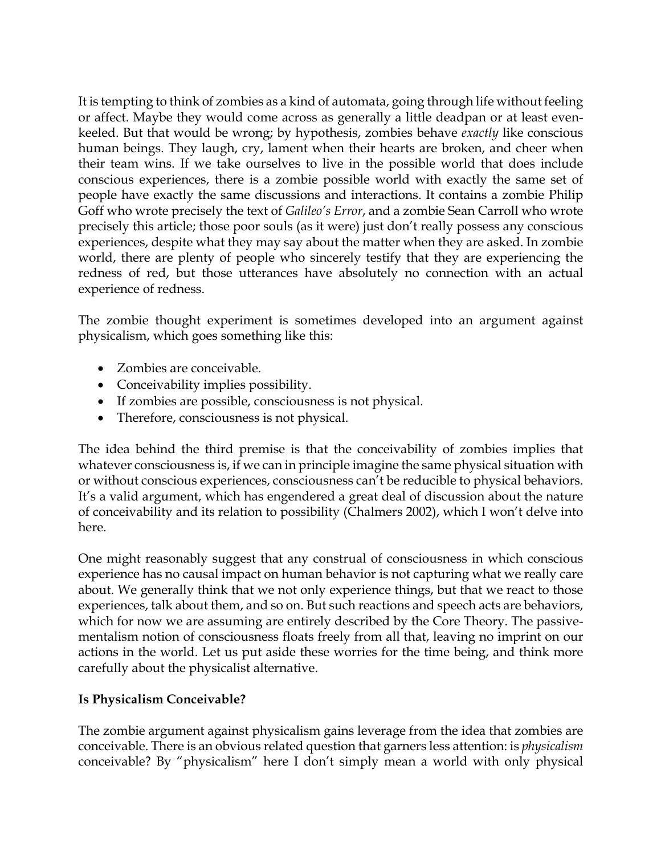It is tempting to think of zombies as a kind of automata, going through life without feeling or affect. Maybe they would come across as generally a little deadpan or at least evenkeeled. But that would be wrong; by hypothesis, zombies behave *exactly* like conscious human beings. They laugh, cry, lament when their hearts are broken, and cheer when their team wins. If we take ourselves to live in the possible world that does include conscious experiences, there is a zombie possible world with exactly the same set of people have exactly the same discussions and interactions. It contains a zombie Philip Goff who wrote precisely the text of *Galileo's Error*, and a zombie Sean Carroll who wrote precisely this article; those poor souls (as it were) just don't really possess any conscious experiences, despite what they may say about the matter when they are asked. In zombie world, there are plenty of people who sincerely testify that they are experiencing the redness of red, but those utterances have absolutely no connection with an actual experience of redness.

The zombie thought experiment is sometimes developed into an argument against physicalism, which goes something like this:

- Zombies are conceivable.
- Conceivability implies possibility.
- If zombies are possible, consciousness is not physical.
- Therefore, consciousness is not physical.

The idea behind the third premise is that the conceivability of zombies implies that whatever consciousness is, if we can in principle imagine the same physical situation with or without conscious experiences, consciousness can't be reducible to physical behaviors. It's a valid argument, which has engendered a great deal of discussion about the nature of conceivability and its relation to possibility (Chalmers 2002), which I won't delve into here.

One might reasonably suggest that any construal of consciousness in which conscious experience has no causal impact on human behavior is not capturing what we really care about. We generally think that we not only experience things, but that we react to those experiences, talk about them, and so on. But such reactions and speech acts are behaviors, which for now we are assuming are entirely described by the Core Theory. The passivementalism notion of consciousness floats freely from all that, leaving no imprint on our actions in the world. Let us put aside these worries for the time being, and think more carefully about the physicalist alternative.

# **Is Physicalism Conceivable?**

The zombie argument against physicalism gains leverage from the idea that zombies are conceivable. There is an obvious related question that garners less attention: is *physicalism* conceivable? By "physicalism" here I don't simply mean a world with only physical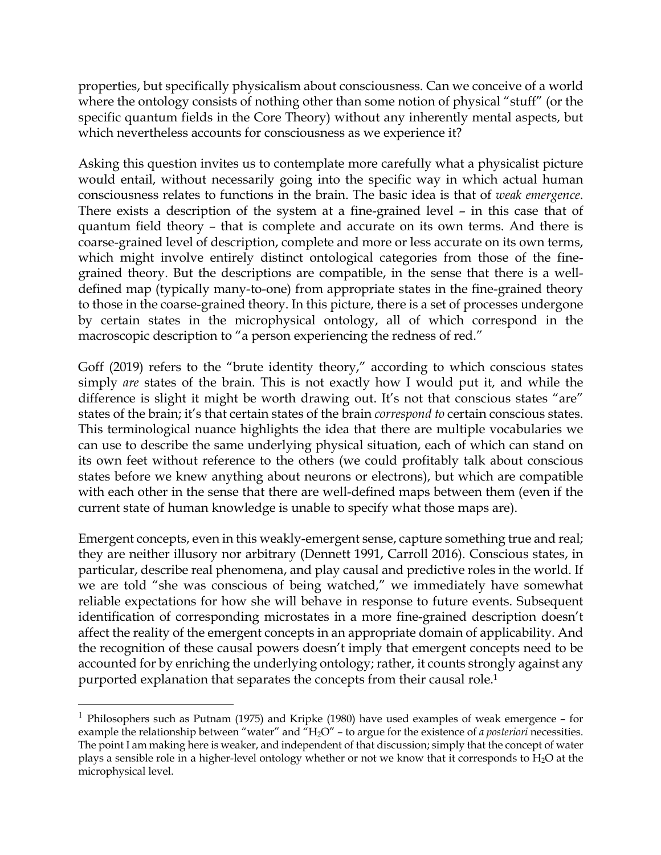properties, but specifically physicalism about consciousness. Can we conceive of a world where the ontology consists of nothing other than some notion of physical "stuff" (or the specific quantum fields in the Core Theory) without any inherently mental aspects, but which nevertheless accounts for consciousness as we experience it?

Asking this question invites us to contemplate more carefully what a physicalist picture would entail, without necessarily going into the specific way in which actual human consciousness relates to functions in the brain. The basic idea is that of *weak emergence*. There exists a description of the system at a fine-grained level – in this case that of quantum field theory – that is complete and accurate on its own terms. And there is coarse-grained level of description, complete and more or less accurate on its own terms, which might involve entirely distinct ontological categories from those of the finegrained theory. But the descriptions are compatible, in the sense that there is a welldefined map (typically many-to-one) from appropriate states in the fine-grained theory to those in the coarse-grained theory. In this picture, there is a set of processes undergone by certain states in the microphysical ontology, all of which correspond in the macroscopic description to "a person experiencing the redness of red."

Goff (2019) refers to the "brute identity theory," according to which conscious states simply *are* states of the brain. This is not exactly how I would put it, and while the difference is slight it might be worth drawing out. It's not that conscious states "are" states of the brain; it's that certain states of the brain *correspond to* certain conscious states. This terminological nuance highlights the idea that there are multiple vocabularies we can use to describe the same underlying physical situation, each of which can stand on its own feet without reference to the others (we could profitably talk about conscious states before we knew anything about neurons or electrons), but which are compatible with each other in the sense that there are well-defined maps between them (even if the current state of human knowledge is unable to specify what those maps are).

Emergent concepts, even in this weakly-emergent sense, capture something true and real; they are neither illusory nor arbitrary (Dennett 1991, Carroll 2016). Conscious states, in particular, describe real phenomena, and play causal and predictive roles in the world. If we are told "she was conscious of being watched," we immediately have somewhat reliable expectations for how she will behave in response to future events. Subsequent identification of corresponding microstates in a more fine-grained description doesn't affect the reality of the emergent concepts in an appropriate domain of applicability. And the recognition of these causal powers doesn't imply that emergent concepts need to be accounted for by enriching the underlying ontology; rather, it counts strongly against any purported explanation that separates the concepts from their causal role. 1

<sup>&</sup>lt;sup>1</sup> Philosophers such as Putnam (1975) and Kripke (1980) have used examples of weak emergence – for example the relationship between "water" and "H2O" – to argue for the existence of *a posteriori* necessities. The point I am making here is weaker, and independent of that discussion; simply that the concept of water plays a sensible role in a higher-level ontology whether or not we know that it corresponds to H2O at the microphysical level.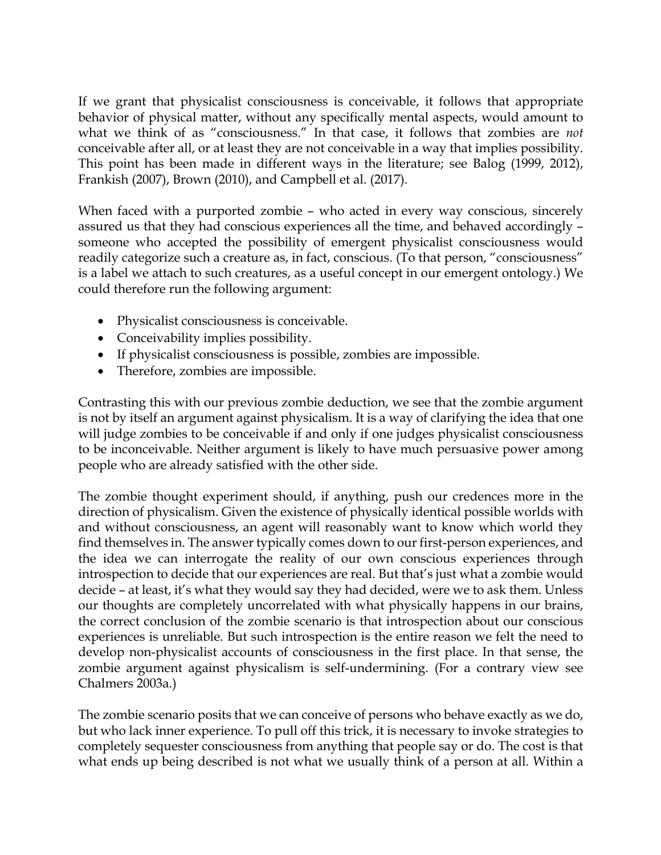If we grant that physicalist consciousness is conceivable, it follows that appropriate behavior of physical matter, without any specifically mental aspects, would amount to what we think of as "consciousness." In that case, it follows that zombies are *not* conceivable after all, or at least they are not conceivable in a way that implies possibility. This point has been made in different ways in the literature; see Balog (1999, 2012), Frankish (2007), Brown (2010), and Campbell et al. (2017).

When faced with a purported zombie – who acted in every way conscious, sincerely assured us that they had conscious experiences all the time, and behaved accordingly – someone who accepted the possibility of emergent physicalist consciousness would readily categorize such a creature as, in fact, conscious. (To that person, "consciousness" is a label we attach to such creatures, as a useful concept in our emergent ontology.) We could therefore run the following argument:

- Physicalist consciousness is conceivable.
- Conceivability implies possibility.
- If physicalist consciousness is possible, zombies are impossible.
- Therefore, zombies are impossible.

Contrasting this with our previous zombie deduction, we see that the zombie argument is not by itself an argument against physicalism. It is a way of clarifying the idea that one will judge zombies to be conceivable if and only if one judges physicalist consciousness to be inconceivable. Neither argument is likely to have much persuasive power among people who are already satisfied with the other side.

The zombie thought experiment should, if anything, push our credences more in the direction of physicalism. Given the existence of physically identical possible worlds with and without consciousness, an agent will reasonably want to know which world they find themselves in. The answer typically comes down to our first-person experiences, and the idea we can interrogate the reality of our own conscious experiences through introspection to decide that our experiences are real. But that's just what a zombie would decide – at least, it's what they would say they had decided, were we to ask them. Unless our thoughts are completely uncorrelated with what physically happens in our brains, the correct conclusion of the zombie scenario is that introspection about our conscious experiences is unreliable. But such introspection is the entire reason we felt the need to develop non-physicalist accounts of consciousness in the first place. In that sense, the zombie argument against physicalism is self-undermining. (For a contrary view see Chalmers 2003a.)

The zombie scenario posits that we can conceive of persons who behave exactly as we do, but who lack inner experience. To pull off this trick, it is necessary to invoke strategies to completely sequester consciousness from anything that people say or do. The cost is that what ends up being described is not what we usually think of a person at all. Within a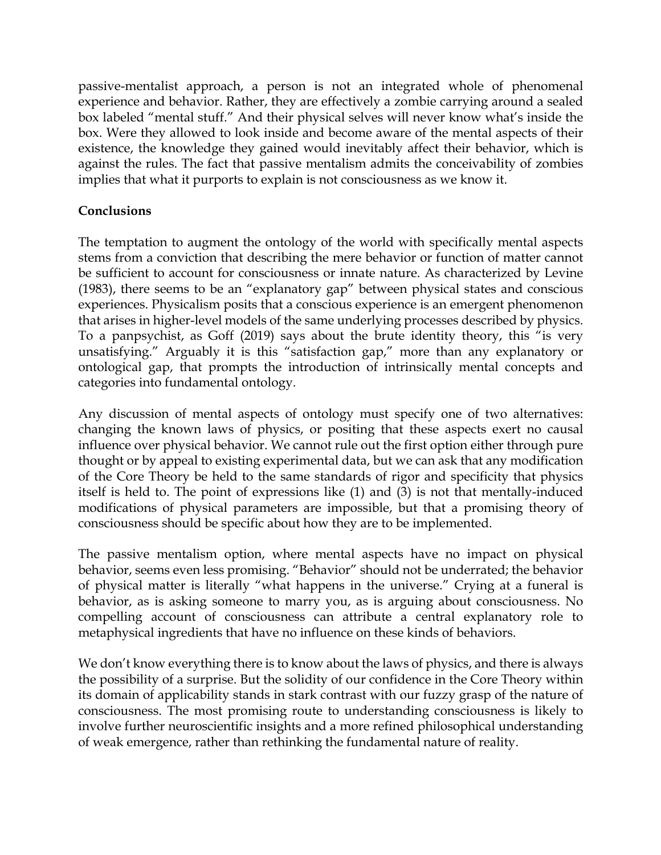passive-mentalist approach, a person is not an integrated whole of phenomenal experience and behavior. Rather, they are effectively a zombie carrying around a sealed box labeled "mental stuff." And their physical selves will never know what's inside the box. Were they allowed to look inside and become aware of the mental aspects of their existence, the knowledge they gained would inevitably affect their behavior, which is against the rules. The fact that passive mentalism admits the conceivability of zombies implies that what it purports to explain is not consciousness as we know it.

# **Conclusions**

The temptation to augment the ontology of the world with specifically mental aspects stems from a conviction that describing the mere behavior or function of matter cannot be sufficient to account for consciousness or innate nature. As characterized by Levine (1983), there seems to be an "explanatory gap" between physical states and conscious experiences. Physicalism posits that a conscious experience is an emergent phenomenon that arises in higher-level models of the same underlying processes described by physics. To a panpsychist, as Goff (2019) says about the brute identity theory, this "is very unsatisfying." Arguably it is this "satisfaction gap," more than any explanatory or ontological gap, that prompts the introduction of intrinsically mental concepts and categories into fundamental ontology.

Any discussion of mental aspects of ontology must specify one of two alternatives: changing the known laws of physics, or positing that these aspects exert no causal influence over physical behavior. We cannot rule out the first option either through pure thought or by appeal to existing experimental data, but we can ask that any modification of the Core Theory be held to the same standards of rigor and specificity that physics itself is held to. The point of expressions like (1) and (3) is not that mentally-induced modifications of physical parameters are impossible, but that a promising theory of consciousness should be specific about how they are to be implemented.

The passive mentalism option, where mental aspects have no impact on physical behavior, seems even less promising. "Behavior" should not be underrated; the behavior of physical matter is literally "what happens in the universe." Crying at a funeral is behavior, as is asking someone to marry you, as is arguing about consciousness. No compelling account of consciousness can attribute a central explanatory role to metaphysical ingredients that have no influence on these kinds of behaviors.

We don't know everything there is to know about the laws of physics, and there is always the possibility of a surprise. But the solidity of our confidence in the Core Theory within its domain of applicability stands in stark contrast with our fuzzy grasp of the nature of consciousness. The most promising route to understanding consciousness is likely to involve further neuroscientific insights and a more refined philosophical understanding of weak emergence, rather than rethinking the fundamental nature of reality.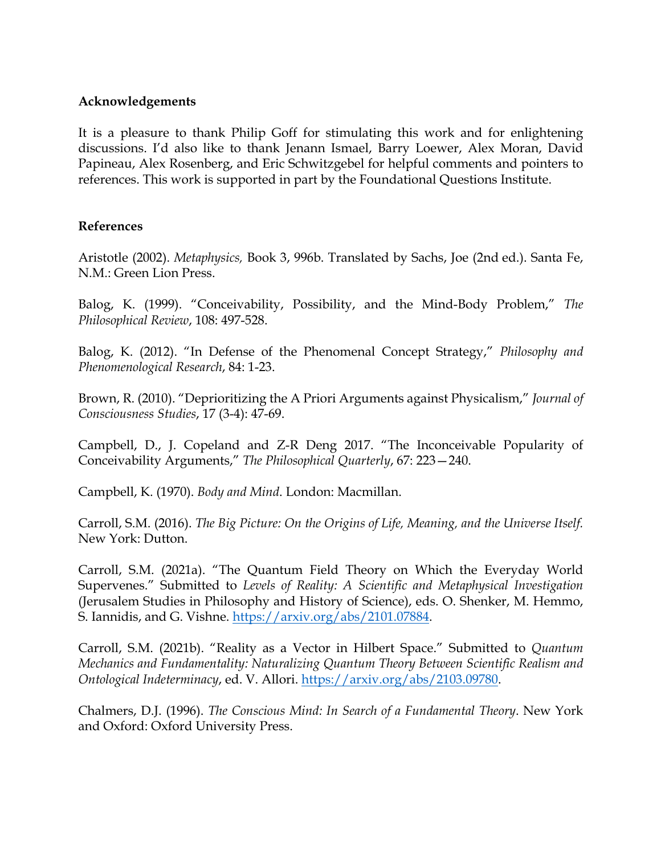### **Acknowledgements**

It is a pleasure to thank Philip Goff for stimulating this work and for enlightening discussions. I'd also like to thank Jenann Ismael, Barry Loewer, Alex Moran, David Papineau, Alex Rosenberg, and Eric Schwitzgebel for helpful comments and pointers to references. This work is supported in part by the Foundational Questions Institute.

### **References**

Aristotle (2002). *Metaphysics,* Book 3, 996b. Translated by Sachs, Joe (2nd ed.). Santa Fe, N.M.: Green Lion Press.

Balog, K. (1999). "Conceivability, Possibility, and the Mind-Body Problem," *The Philosophical Review*, 108: 497-528.

Balog, K. (2012). "In Defense of the Phenomenal Concept Strategy," *Philosophy and Phenomenological Research*, 84: 1-23.

Brown, R. (2010). "Deprioritizing the A Priori Arguments against Physicalism," *Journal of Consciousness Studies*, 17 (3-4): 47-69.

Campbell, D., J. Copeland and Z-R Deng 2017. "The Inconceivable Popularity of Conceivability Arguments," *The Philosophical Quarterly*, 67: 223—240.

Campbell, K. (1970). *Body and Mind*. London: Macmillan.

Carroll, S.M. (2016). *The Big Picture: On the Origins of Life, Meaning, and the Universe Itself.* New York: Dutton.

Carroll, S.M. (2021a). "The Quantum Field Theory on Which the Everyday World Supervenes." Submitted to *Levels of Reality: A Scientific and Metaphysical Investigation* (Jerusalem Studies in Philosophy and History of Science), eds. O. Shenker, M. Hemmo, S. Iannidis, and G. Vishne. https://arxiv.org/abs/2101.07884.

Carroll, S.M. (2021b). "Reality as a Vector in Hilbert Space." Submitted to *Quantum Mechanics and Fundamentality: Naturalizing Quantum Theory Between Scientific Realism and Ontological Indeterminacy*, ed. V. Allori. https://arxiv.org/abs/2103.09780.

Chalmers, D.J. (1996). *The Conscious Mind: In Search of a Fundamental Theory*. New York and Oxford: Oxford University Press.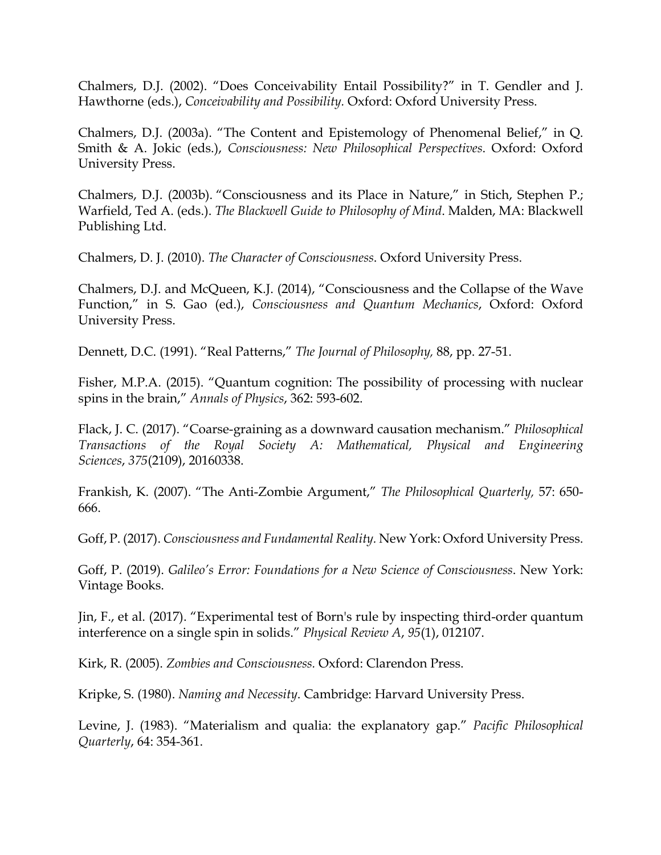Chalmers, D.J. (2002). "Does Conceivability Entail Possibility?" in T. Gendler and J. Hawthorne (eds.), *Conceivability and Possibility.* Oxford: Oxford University Press.

Chalmers, D.J. (2003a). "The Content and Epistemology of Phenomenal Belief," in Q. Smith & A. Jokic (eds.), *Consciousness: New Philosophical Perspectives*. Oxford: Oxford University Press.

Chalmers, D.J. (2003b). "Consciousness and its Place in Nature," in Stich, Stephen P.; Warfield, Ted A. (eds.). *The Blackwell Guide to Philosophy of Mind*. Malden, MA: Blackwell Publishing Ltd.

Chalmers, D. J. (2010). *The Character of Consciousness*. Oxford University Press.

Chalmers, D.J. and McQueen, K.J. (2014), "Consciousness and the Collapse of the Wave Function," in S. Gao (ed.), *Consciousness and Quantum Mechanics*, Oxford: Oxford University Press.

Dennett, D.C. (1991). "Real Patterns," *The Journal of Philosophy,* 88, pp. 27-51.

Fisher, M.P.A. (2015). "Quantum cognition: The possibility of processing with nuclear spins in the brain," *Annals of Physics*, 362: 593-602.

Flack, J. C. (2017). "Coarse-graining as a downward causation mechanism." *Philosophical Transactions of the Royal Society A: Mathematical, Physical and Engineering Sciences*, *375*(2109), 20160338.

Frankish, K. (2007). "The Anti-Zombie Argument," *The Philosophical Quarterly,* 57: 650- 666.

Goff, P. (2017). *Consciousness and Fundamental Reality.* New York: Oxford University Press.

Goff, P. (2019). *Galileo's Error: Foundations for a New Science of Consciousness*. New York: Vintage Books.

Jin, F., et al. (2017). "Experimental test of Born's rule by inspecting third-order quantum interference on a single spin in solids." *Physical Review A*, *95*(1), 012107.

Kirk, R. (2005). *Zombies and Consciousness.* Oxford: Clarendon Press.

Kripke, S. (1980). *Naming and Necessity*. Cambridge: Harvard University Press.

Levine, J. (1983). "Materialism and qualia: the explanatory gap." *Pacific Philosophical Quarterly*, 64: 354-361.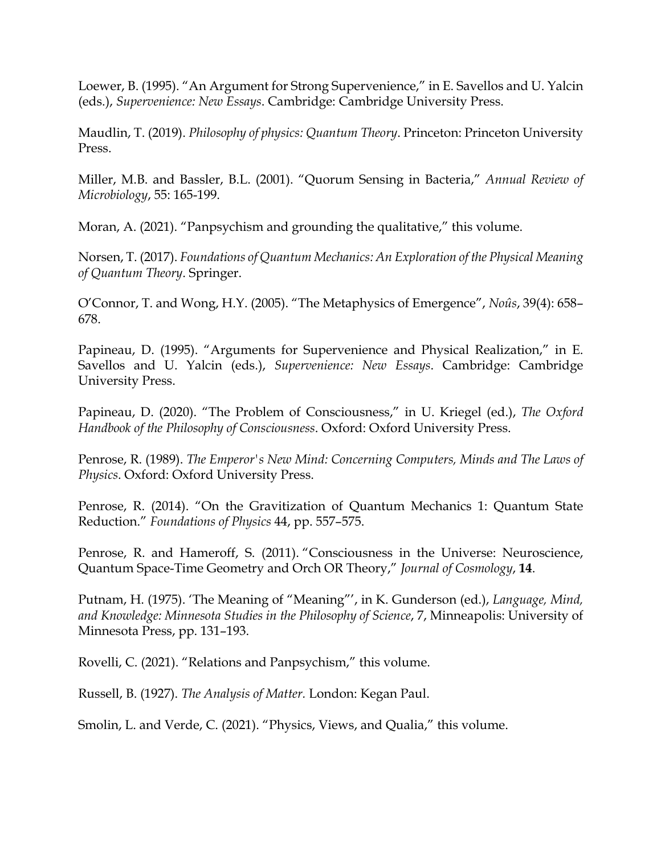Loewer, B. (1995). "An Argument for Strong Supervenience," in E. Savellos and U. Yalcin (eds.), *Supervenience: New Essays*. Cambridge: Cambridge University Press.

Maudlin, T. (2019). *Philosophy of physics: Quantum Theory*. Princeton: Princeton University Press.

Miller, M.B. and Bassler, B.L. (2001). "Quorum Sensing in Bacteria," *Annual Review of Microbiology*, 55: 165-199.

Moran, A. (2021). "Panpsychism and grounding the qualitative," this volume.

Norsen, T. (2017). *Foundations of Quantum Mechanics: An Exploration of the Physical Meaning of Quantum Theory*. Springer.

O'Connor, T. and Wong, H.Y. (2005). "The Metaphysics of Emergence", *Noûs*, 39(4): 658– 678.

Papineau, D. (1995). "Arguments for Supervenience and Physical Realization," in E. Savellos and U. Yalcin (eds.), *Supervenience: New Essays*. Cambridge: Cambridge University Press.

Papineau, D. (2020). "The Problem of Consciousness," in U. Kriegel (ed.), *The Oxford Handbook of the Philosophy of Consciousness*. Oxford: Oxford University Press.

Penrose, R. (1989). *The Emperor's New Mind: Concerning Computers, Minds and The Laws of Physics*. Oxford: Oxford University Press.

Penrose, R. (2014). "On the Gravitization of Quantum Mechanics 1: Quantum State Reduction." *Foundations of Physics* 44, pp. 557–575.

Penrose, R. and Hameroff, S. (2011). "Consciousness in the Universe: Neuroscience, Quantum Space-Time Geometry and Orch OR Theory," *Journal of Cosmology*, **14**.

Putnam, H. (1975). 'The Meaning of "Meaning"', in K. Gunderson (ed.), *Language, Mind, and Knowledge: Minnesota Studies in the Philosophy of Science*, 7, Minneapolis: University of Minnesota Press, pp. 131–193.

Rovelli, C. (2021). "Relations and Panpsychism," this volume.

Russell, B. (1927). *The Analysis of Matter.* London: Kegan Paul.

Smolin, L. and Verde, C. (2021). "Physics, Views, and Qualia," this volume.